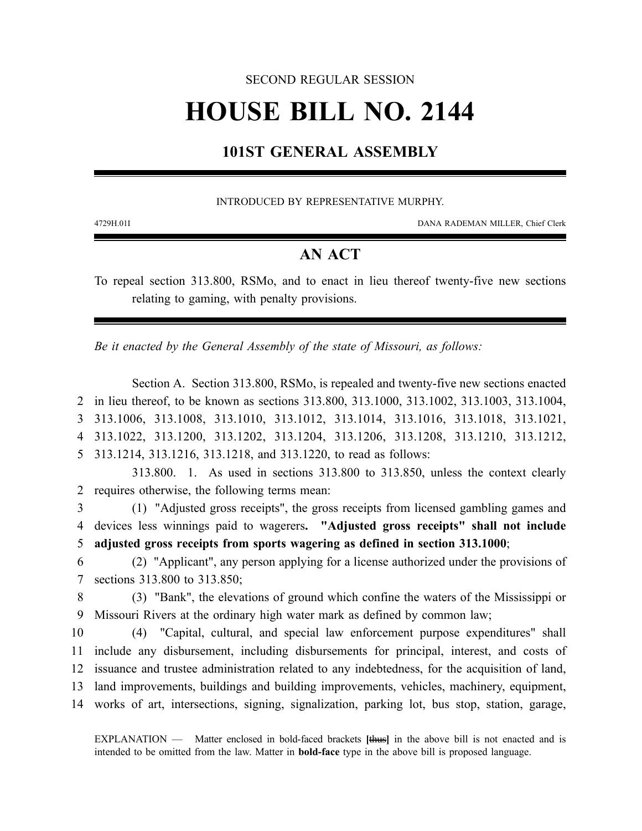# SECOND REGULAR SESSION

# **HOUSE BILL NO. 2144**

# **101ST GENERAL ASSEMBLY**

# INTRODUCED BY REPRESENTATIVE MURPHY.

4729H.01I DANA RADEMAN MILLER, Chief Clerk

# **AN ACT**

To repeal section 313.800, RSMo, and to enact in lieu thereof twenty-five new sections relating to gaming, with penalty provisions.

*Be it enacted by the General Assembly of the state of Missouri, as follows:*

Section A. Section 313.800, RSMo, is repealed and twenty-five new sections enacted in lieu thereof, to be known as sections 313.800, 313.1000, 313.1002, 313.1003, 313.1004, 313.1006, 313.1008, 313.1010, 313.1012, 313.1014, 313.1016, 313.1018, 313.1021, 313.1022, 313.1200, 313.1202, 313.1204, 313.1206, 313.1208, 313.1210, 313.1212, 313.1214, 313.1216, 313.1218, and 313.1220, to read as follows:

313.800. 1. As used in sections 313.800 to 313.850, unless the context clearly 2 requires otherwise, the following terms mean:

3 (1) "Adjusted gross receipts", the gross receipts from licensed gambling games and 4 devices less winnings paid to wagerers**. "Adjusted gross receipts" shall not include** 5 **adjusted gross receipts from sports wagering as defined in section 313.1000**;

6 (2) "Applicant", any person applying for a license authorized under the provisions of 7 sections 313.800 to 313.850;

8 (3) "Bank", the elevations of ground which confine the waters of the Mississippi or 9 Missouri Rivers at the ordinary high water mark as defined by common law;

 (4) "Capital, cultural, and special law enforcement purpose expenditures" shall include any disbursement, including disbursements for principal, interest, and costs of issuance and trustee administration related to any indebtedness, for the acquisition of land, land improvements, buildings and building improvements, vehicles, machinery, equipment, works of art, intersections, signing, signalization, parking lot, bus stop, station, garage,

EXPLANATION — Matter enclosed in bold-faced brackets **[**thus**]** in the above bill is not enacted and is intended to be omitted from the law. Matter in **bold-face** type in the above bill is proposed language.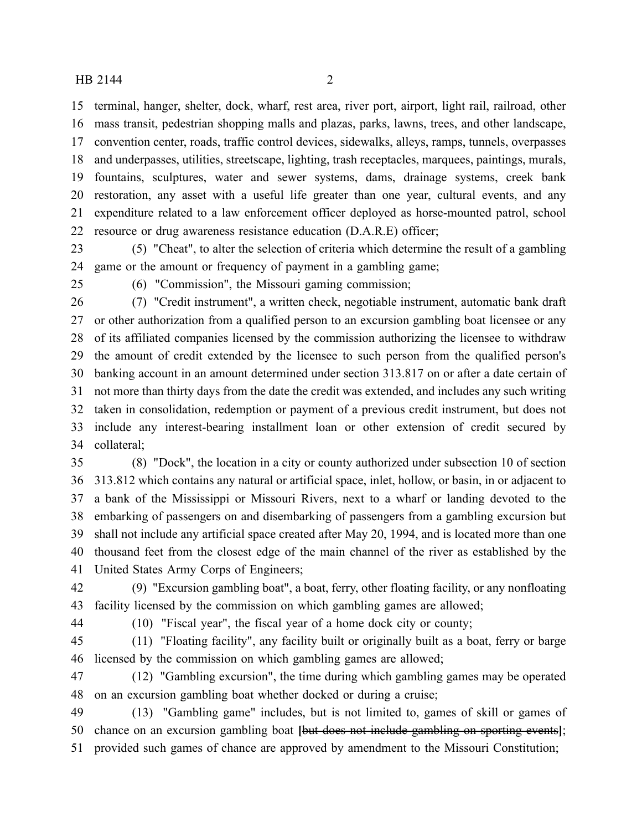terminal, hanger, shelter, dock, wharf, rest area, river port, airport, light rail, railroad, other mass transit, pedestrian shopping malls and plazas, parks, lawns, trees, and other landscape, convention center, roads, traffic control devices, sidewalks, alleys, ramps, tunnels, overpasses and underpasses, utilities, streetscape, lighting, trash receptacles, marquees, paintings, murals, fountains, sculptures, water and sewer systems, dams, drainage systems, creek bank restoration, any asset with a useful life greater than one year, cultural events, and any expenditure related to a law enforcement officer deployed as horse-mounted patrol, school resource or drug awareness resistance education (D.A.R.E) officer;

 (5) "Cheat", to alter the selection of criteria which determine the result of a gambling game or the amount or frequency of payment in a gambling game;

(6) "Commission", the Missouri gaming commission;

 (7) "Credit instrument", a written check, negotiable instrument, automatic bank draft or other authorization from a qualified person to an excursion gambling boat licensee or any of its affiliated companies licensed by the commission authorizing the licensee to withdraw the amount of credit extended by the licensee to such person from the qualified person's banking account in an amount determined under section 313.817 on or after a date certain of not more than thirty days from the date the credit was extended, and includes any such writing taken in consolidation, redemption or payment of a previous credit instrument, but does not include any interest-bearing installment loan or other extension of credit secured by collateral;

 (8) "Dock", the location in a city or county authorized under subsection 10 of section 313.812 which contains any natural or artificial space, inlet, hollow, or basin, in or adjacent to a bank of the Mississippi or Missouri Rivers, next to a wharf or landing devoted to the embarking of passengers on and disembarking of passengers from a gambling excursion but shall not include any artificial space created after May 20, 1994, and is located more than one thousand feet from the closest edge of the main channel of the river as established by the United States Army Corps of Engineers;

 (9) "Excursion gambling boat", a boat, ferry, other floating facility, or any nonfloating facility licensed by the commission on which gambling games are allowed;

(10) "Fiscal year", the fiscal year of a home dock city or county;

 (11) "Floating facility", any facility built or originally built as a boat, ferry or barge licensed by the commission on which gambling games are allowed;

 (12) "Gambling excursion", the time during which gambling games may be operated on an excursion gambling boat whether docked or during a cruise;

 (13) "Gambling game" includes, but is not limited to, games of skill or games of chance on an excursion gambling boat **[**but does not include gambling on sporting events**]**; provided such games of chance are approved by amendment to the Missouri Constitution;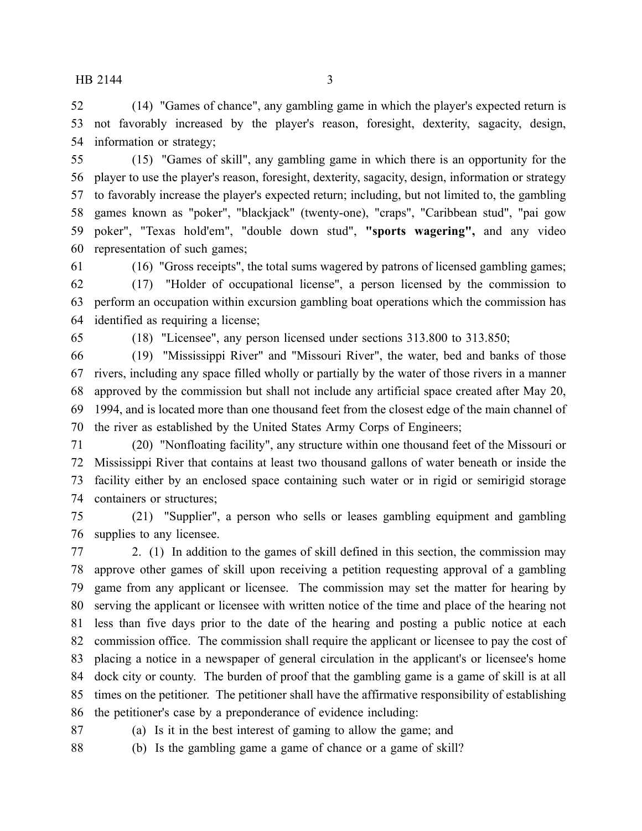(14) "Games of chance", any gambling game in which the player's expected return is not favorably increased by the player's reason, foresight, dexterity, sagacity, design, information or strategy;

 (15) "Games of skill", any gambling game in which there is an opportunity for the player to use the player's reason, foresight, dexterity, sagacity, design, information or strategy to favorably increase the player's expected return; including, but not limited to, the gambling games known as "poker", "blackjack" (twenty-one), "craps", "Caribbean stud", "pai gow poker", "Texas hold'em", "double down stud", **"sports wagering",** and any video representation of such games;

(16) "Gross receipts", the total sums wagered by patrons of licensed gambling games;

 (17) "Holder of occupational license", a person licensed by the commission to perform an occupation within excursion gambling boat operations which the commission has identified as requiring a license;

(18) "Licensee", any person licensed under sections 313.800 to 313.850;

 (19) "Mississippi River" and "Missouri River", the water, bed and banks of those rivers, including any space filled wholly or partially by the water of those rivers in a manner approved by the commission but shall not include any artificial space created after May 20, 1994, and is located more than one thousand feet from the closest edge of the main channel of the river as established by the United States Army Corps of Engineers;

 (20) "Nonfloating facility", any structure within one thousand feet of the Missouri or Mississippi River that contains at least two thousand gallons of water beneath or inside the facility either by an enclosed space containing such water or in rigid or semirigid storage containers or structures;

 (21) "Supplier", a person who sells or leases gambling equipment and gambling supplies to any licensee.

 2. (1) In addition to the games of skill defined in this section, the commission may approve other games of skill upon receiving a petition requesting approval of a gambling game from any applicant or licensee. The commission may set the matter for hearing by serving the applicant or licensee with written notice of the time and place of the hearing not less than five days prior to the date of the hearing and posting a public notice at each commission office. The commission shall require the applicant or licensee to pay the cost of placing a notice in a newspaper of general circulation in the applicant's or licensee's home dock city or county. The burden of proof that the gambling game is a game of skill is at all times on the petitioner. The petitioner shall have the affirmative responsibility of establishing the petitioner's case by a preponderance of evidence including:

(a) Is it in the best interest of gaming to allow the game; and

(b) Is the gambling game a game of chance or a game of skill?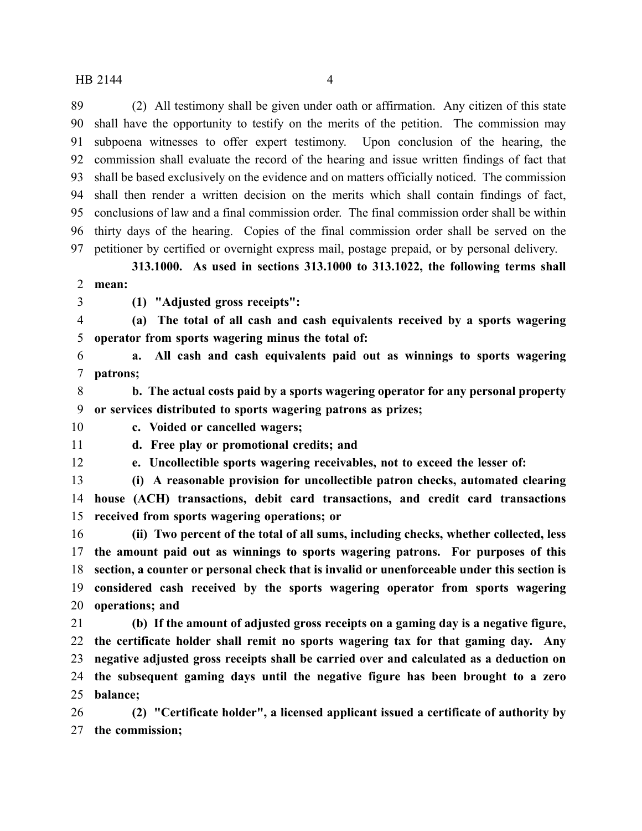(2) All testimony shall be given under oath or affirmation. Any citizen of this state shall have the opportunity to testify on the merits of the petition. The commission may subpoena witnesses to offer expert testimony. Upon conclusion of the hearing, the commission shall evaluate the record of the hearing and issue written findings of fact that shall be based exclusively on the evidence and on matters officially noticed. The commission shall then render a written decision on the merits which shall contain findings of fact, conclusions of law and a final commission order. The final commission order shall be within thirty days of the hearing. Copies of the final commission order shall be served on the petitioner by certified or overnight express mail, postage prepaid, or by personal delivery.

**313.1000. As used in sections 313.1000 to 313.1022, the following terms shall mean:**

**(1) "Adjusted gross receipts":**

 **(a) The total of all cash and cash equivalents received by a sports wagering operator from sports wagering minus the total of:**

 **a. All cash and cash equivalents paid out as winnings to sports wagering patrons;**

 **b. The actual costs paid by a sports wagering operator for any personal property or services distributed to sports wagering patrons as prizes;**

**c. Voided or cancelled wagers;**

**d. Free play or promotional credits; and**

**e. Uncollectible sports wagering receivables, not to exceed the lesser of:**

 **(i) A reasonable provision for uncollectible patron checks, automated clearing house (ACH) transactions, debit card transactions, and credit card transactions received from sports wagering operations; or**

 **(ii) Two percent of the total of all sums, including checks, whether collected, less the amount paid out as winnings to sports wagering patrons. For purposes of this section, a counter or personal check that is invalid or unenforceable under this section is considered cash received by the sports wagering operator from sports wagering**

**operations; and**

 **(b) If the amount of adjusted gross receipts on a gaming day is a negative figure, the certificate holder shall remit no sports wagering tax for that gaming day. Any negative adjusted gross receipts shall be carried over and calculated as a deduction on the subsequent gaming days until the negative figure has been brought to a zero balance;**

 **(2) "Certificate holder", a licensed applicant issued a certificate of authority by the commission;**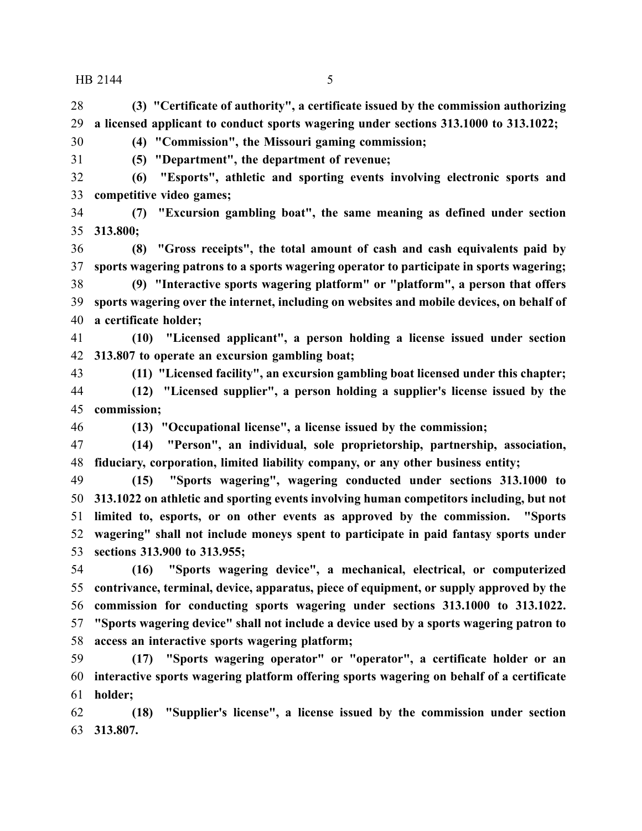**(3) "Certificate of authority", a certificate issued by the commission authorizing a licensed applicant to conduct sports wagering under sections 313.1000 to 313.1022;**

**(4) "Commission", the Missouri gaming commission;**

**(5) "Department", the department of revenue;**

 **(6) "Esports", athletic and sporting events involving electronic sports and competitive video games;**

 **(7) "Excursion gambling boat", the same meaning as defined under section 313.800;**

 **(8) "Gross receipts", the total amount of cash and cash equivalents paid by sports wagering patrons to a sports wagering operator to participate in sports wagering;**

 **(9) "Interactive sports wagering platform" or "platform", a person that offers sports wagering over the internet, including on websites and mobile devices, on behalf of a certificate holder;**

 **(10) "Licensed applicant", a person holding a license issued under section 313.807 to operate an excursion gambling boat;**

**(11) "Licensed facility", an excursion gambling boat licensed under this chapter;**

 **(12) "Licensed supplier", a person holding a supplier's license issued by the commission;**

**(13) "Occupational license", a license issued by the commission;**

 **(14) "Person", an individual, sole proprietorship, partnership, association, fiduciary, corporation, limited liability company, or any other business entity;**

 **(15) "Sports wagering", wagering conducted under sections 313.1000 to 313.1022 on athletic and sporting events involving human competitors including, but not limited to, esports, or on other events as approved by the commission. "Sports wagering" shall not include moneys spent to participate in paid fantasy sports under sections 313.900 to 313.955;**

 **(16) "Sports wagering device", a mechanical, electrical, or computerized contrivance, terminal, device, apparatus, piece of equipment, or supply approved by the commission for conducting sports wagering under sections 313.1000 to 313.1022. "Sports wagering device" shall not include a device used by a sports wagering patron to access an interactive sports wagering platform;**

 **(17) "Sports wagering operator" or "operator", a certificate holder or an interactive sports wagering platform offering sports wagering on behalf of a certificate holder;**

 **(18) "Supplier's license", a license issued by the commission under section 313.807.**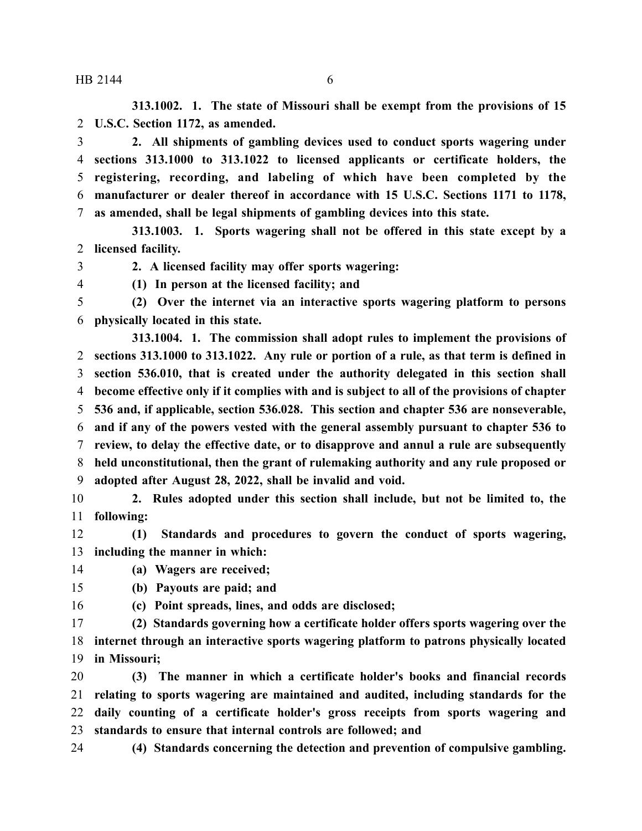**313.1002. 1. The state of Missouri shall be exempt from the provisions of 15 U.S.C. Section 1172, as amended.**

 **2. All shipments of gambling devices used to conduct sports wagering under sections 313.1000 to 313.1022 to licensed applicants or certificate holders, the registering, recording, and labeling of which have been completed by the manufacturer or dealer thereof in accordance with 15 U.S.C. Sections 1171 to 1178, as amended, shall be legal shipments of gambling devices into this state.**

**313.1003. 1. Sports wagering shall not be offered in this state except by a licensed facility.**

**2. A licensed facility may offer sports wagering:**

**(1) In person at the licensed facility; and**

 **(2) Over the internet via an interactive sports wagering platform to persons physically located in this state.**

**313.1004. 1. The commission shall adopt rules to implement the provisions of sections 313.1000 to 313.1022. Any rule or portion of a rule, as that term is defined in section 536.010, that is created under the authority delegated in this section shall become effective only if it complies with and is subject to all of the provisions of chapter 536 and, if applicable, section 536.028. This section and chapter 536 are nonseverable, and if any of the powers vested with the general assembly pursuant to chapter 536 to review, to delay the effective date, or to disapprove and annul a rule are subsequently held unconstitutional, then the grant of rulemaking authority and any rule proposed or adopted after August 28, 2022, shall be invalid and void.**

 **2. Rules adopted under this section shall include, but not be limited to, the following:**

 **(1) Standards and procedures to govern the conduct of sports wagering, including the manner in which:**

**(a) Wagers are received;**

**(b) Payouts are paid; and**

**(c) Point spreads, lines, and odds are disclosed;**

 **(2) Standards governing how a certificate holder offers sports wagering over the internet through an interactive sports wagering platform to patrons physically located in Missouri;**

 **(3) The manner in which a certificate holder's books and financial records relating to sports wagering are maintained and audited, including standards for the daily counting of a certificate holder's gross receipts from sports wagering and standards to ensure that internal controls are followed; and**

**(4) Standards concerning the detection and prevention of compulsive gambling.**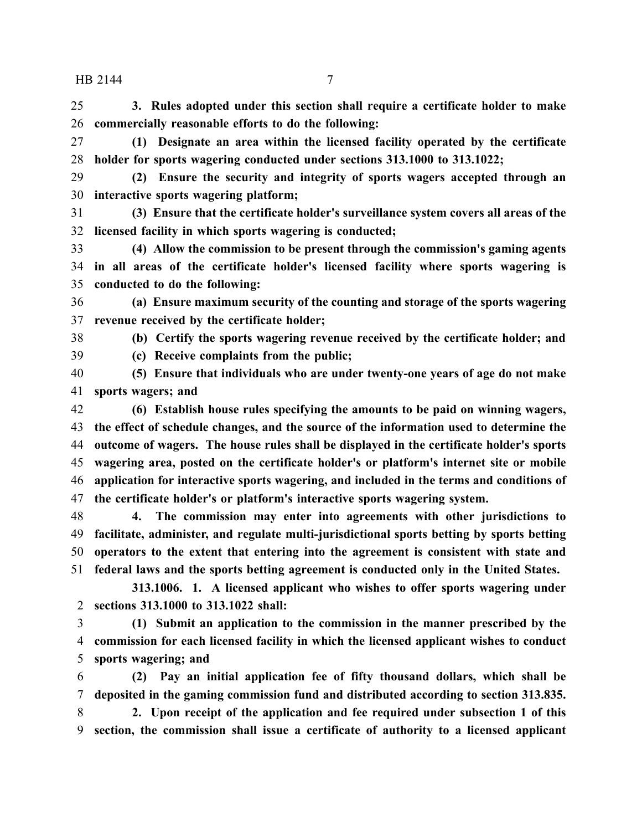**3. Rules adopted under this section shall require a certificate holder to make commercially reasonable efforts to do the following:**

 **(1) Designate an area within the licensed facility operated by the certificate holder for sports wagering conducted under sections 313.1000 to 313.1022;**

 **(2) Ensure the security and integrity of sports wagers accepted through an interactive sports wagering platform;**

 **(3) Ensure that the certificate holder's surveillance system covers all areas of the licensed facility in which sports wagering is conducted;**

 **(4) Allow the commission to be present through the commission's gaming agents in all areas of the certificate holder's licensed facility where sports wagering is conducted to do the following:**

 **(a) Ensure maximum security of the counting and storage of the sports wagering revenue received by the certificate holder;**

**(b) Certify the sports wagering revenue received by the certificate holder; and**

**(c) Receive complaints from the public;**

 **(5) Ensure that individuals who are under twenty-one years of age do not make sports wagers; and**

 **(6) Establish house rules specifying the amounts to be paid on winning wagers, the effect of schedule changes, and the source of the information used to determine the outcome of wagers. The house rules shall be displayed in the certificate holder's sports wagering area, posted on the certificate holder's or platform's internet site or mobile application for interactive sports wagering, and included in the terms and conditions of the certificate holder's or platform's interactive sports wagering system.**

 **4. The commission may enter into agreements with other jurisdictions to facilitate, administer, and regulate multi-jurisdictional sports betting by sports betting operators to the extent that entering into the agreement is consistent with state and federal laws and the sports betting agreement is conducted only in the United States.**

**313.1006. 1. A licensed applicant who wishes to offer sports wagering under sections 313.1000 to 313.1022 shall:**

 **(1) Submit an application to the commission in the manner prescribed by the commission for each licensed facility in which the licensed applicant wishes to conduct sports wagering; and**

 **(2) Pay an initial application fee of fifty thousand dollars, which shall be deposited in the gaming commission fund and distributed according to section 313.835.**

 **2. Upon receipt of the application and fee required under subsection 1 of this section, the commission shall issue a certificate of authority to a licensed applicant**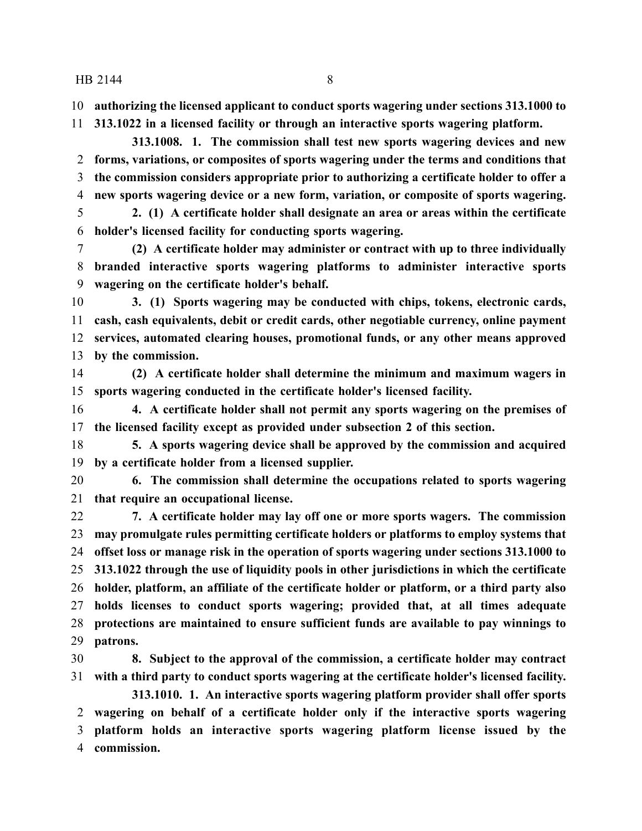**authorizing the licensed applicant to conduct sports wagering under sections 313.1000 to**

**313.1022 in a licensed facility or through an interactive sports wagering platform.**

**313.1008. 1. The commission shall test new sports wagering devices and new forms, variations, or composites of sports wagering under the terms and conditions that the commission considers appropriate prior to authorizing a certificate holder to offer a new sports wagering device or a new form, variation, or composite of sports wagering.**

 **2. (1) A certificate holder shall designate an area or areas within the certificate holder's licensed facility for conducting sports wagering.**

 **(2) A certificate holder may administer or contract with up to three individually branded interactive sports wagering platforms to administer interactive sports wagering on the certificate holder's behalf.**

 **3. (1) Sports wagering may be conducted with chips, tokens, electronic cards, cash, cash equivalents, debit or credit cards, other negotiable currency, online payment services, automated clearing houses, promotional funds, or any other means approved by the commission.**

 **(2) A certificate holder shall determine the minimum and maximum wagers in sports wagering conducted in the certificate holder's licensed facility.**

 **4. A certificate holder shall not permit any sports wagering on the premises of the licensed facility except as provided under subsection 2 of this section.**

 **5. A sports wagering device shall be approved by the commission and acquired by a certificate holder from a licensed supplier.**

 **6. The commission shall determine the occupations related to sports wagering that require an occupational license.**

 **7. A certificate holder may lay off one or more sports wagers. The commission may promulgate rules permitting certificate holders or platforms to employ systems that offset loss or manage risk in the operation of sports wagering under sections 313.1000 to 313.1022 through the use of liquidity pools in other jurisdictions in which the certificate holder, platform, an affiliate of the certificate holder or platform, or a third party also holds licenses to conduct sports wagering; provided that, at all times adequate protections are maintained to ensure sufficient funds are available to pay winnings to patrons.**

 **8. Subject to the approval of the commission, a certificate holder may contract with a third party to conduct sports wagering at the certificate holder's licensed facility. 313.1010. 1. An interactive sports wagering platform provider shall offer sports**

 **wagering on behalf of a certificate holder only if the interactive sports wagering platform holds an interactive sports wagering platform license issued by the commission.**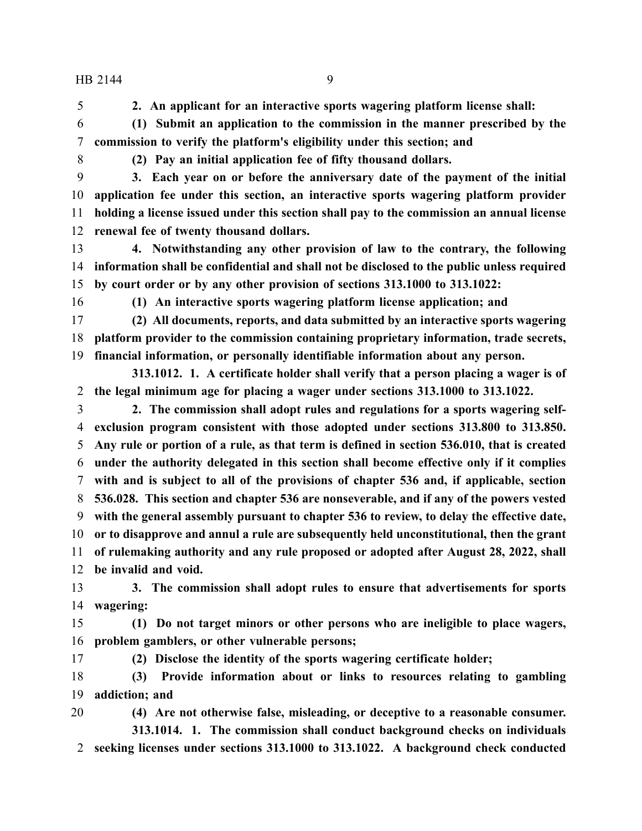**2. An applicant for an interactive sports wagering platform license shall:**

 **(1) Submit an application to the commission in the manner prescribed by the commission to verify the platform's eligibility under this section; and**

**(2) Pay an initial application fee of fifty thousand dollars.**

 **3. Each year on or before the anniversary date of the payment of the initial application fee under this section, an interactive sports wagering platform provider holding a license issued under this section shall pay to the commission an annual license renewal fee of twenty thousand dollars.**

 **4. Notwithstanding any other provision of law to the contrary, the following information shall be confidential and shall not be disclosed to the public unless required by court order or by any other provision of sections 313.1000 to 313.1022:**

**(1) An interactive sports wagering platform license application; and**

 **(2) All documents, reports, and data submitted by an interactive sports wagering platform provider to the commission containing proprietary information, trade secrets, financial information, or personally identifiable information about any person.**

**313.1012. 1. A certificate holder shall verify that a person placing a wager is of the legal minimum age for placing a wager under sections 313.1000 to 313.1022.**

 **2. The commission shall adopt rules and regulations for a sports wagering self- exclusion program consistent with those adopted under sections 313.800 to 313.850. Any rule or portion of a rule, as that term is defined in section 536.010, that is created under the authority delegated in this section shall become effective only if it complies with and is subject to all of the provisions of chapter 536 and, if applicable, section 536.028. This section and chapter 536 are nonseverable, and if any of the powers vested with the general assembly pursuant to chapter 536 to review, to delay the effective date, or to disapprove and annul a rule are subsequently held unconstitutional, then the grant of rulemaking authority and any rule proposed or adopted after August 28, 2022, shall**

**be invalid and void.**

 **3. The commission shall adopt rules to ensure that advertisements for sports wagering:**

 **(1) Do not target minors or other persons who are ineligible to place wagers, problem gamblers, or other vulnerable persons;**

**(2) Disclose the identity of the sports wagering certificate holder;**

 **(3) Provide information about or links to resources relating to gambling addiction; and**

 **(4) Are not otherwise false, misleading, or deceptive to a reasonable consumer. 313.1014. 1. The commission shall conduct background checks on individuals seeking licenses under sections 313.1000 to 313.1022. A background check conducted**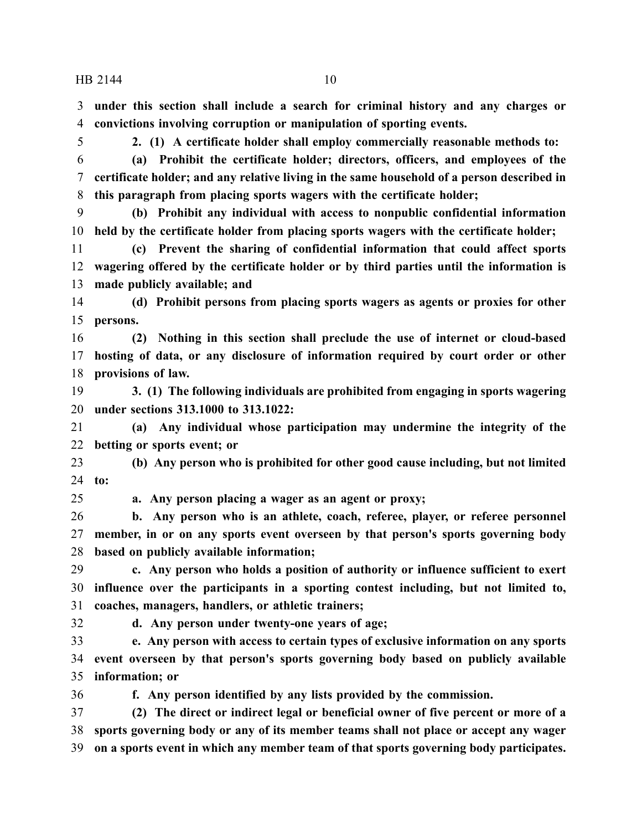**under this section shall include a search for criminal history and any charges or convictions involving corruption or manipulation of sporting events.**

**2. (1) A certificate holder shall employ commercially reasonable methods to:**

 **(a) Prohibit the certificate holder; directors, officers, and employees of the certificate holder; and any relative living in the same household of a person described in this paragraph from placing sports wagers with the certificate holder;**

 **(b) Prohibit any individual with access to nonpublic confidential information held by the certificate holder from placing sports wagers with the certificate holder;**

 **(c) Prevent the sharing of confidential information that could affect sports wagering offered by the certificate holder or by third parties until the information is made publicly available; and**

 **(d) Prohibit persons from placing sports wagers as agents or proxies for other persons.**

 **(2) Nothing in this section shall preclude the use of internet or cloud-based hosting of data, or any disclosure of information required by court order or other provisions of law.**

 **3. (1) The following individuals are prohibited from engaging in sports wagering under sections 313.1000 to 313.1022:**

 **(a) Any individual whose participation may undermine the integrity of the betting or sports event; or**

 **(b) Any person who is prohibited for other good cause including, but not limited to:**

**a. Any person placing a wager as an agent or proxy;**

 **b. Any person who is an athlete, coach, referee, player, or referee personnel member, in or on any sports event overseen by that person's sports governing body based on publicly available information;**

 **c. Any person who holds a position of authority or influence sufficient to exert influence over the participants in a sporting contest including, but not limited to, coaches, managers, handlers, or athletic trainers;**

**d. Any person under twenty-one years of age;**

 **e. Any person with access to certain types of exclusive information on any sports event overseen by that person's sports governing body based on publicly available information; or**

**f. Any person identified by any lists provided by the commission.**

 **(2) The direct or indirect legal or beneficial owner of five percent or more of a sports governing body or any of its member teams shall not place or accept any wager on a sports event in which any member team of that sports governing body participates.**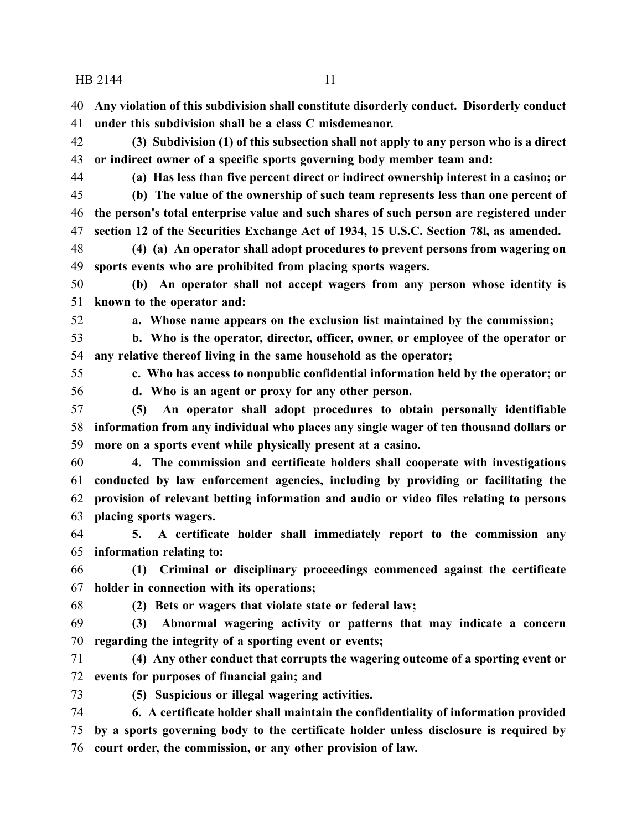**Any violation of this subdivision shall constitute disorderly conduct. Disorderly conduct under this subdivision shall be a class C misdemeanor.**

 **(3) Subdivision (1) of this subsection shall not apply to any person who is a direct or indirect owner of a specific sports governing body member team and:**

**(a) Has less than five percent direct or indirect ownership interest in a casino; or**

 **(b) The value of the ownership of such team represents less than one percent of the person's total enterprise value and such shares of such person are registered under section 12 of the Securities Exchange Act of 1934, 15 U.S.C. Section 78l, as amended.**

 **(4) (a) An operator shall adopt procedures to prevent persons from wagering on sports events who are prohibited from placing sports wagers.**

 **(b) An operator shall not accept wagers from any person whose identity is known to the operator and:**

**a. Whose name appears on the exclusion list maintained by the commission;**

 **b. Who is the operator, director, officer, owner, or employee of the operator or any relative thereof living in the same household as the operator;**

**c. Who has access to nonpublic confidential information held by the operator; or**

**d. Who is an agent or proxy for any other person.**

 **(5) An operator shall adopt procedures to obtain personally identifiable information from any individual who places any single wager of ten thousand dollars or more on a sports event while physically present at a casino.**

 **4. The commission and certificate holders shall cooperate with investigations conducted by law enforcement agencies, including by providing or facilitating the provision of relevant betting information and audio or video files relating to persons placing sports wagers.**

 **5. A certificate holder shall immediately report to the commission any information relating to:**

 **(1) Criminal or disciplinary proceedings commenced against the certificate holder in connection with its operations;**

**(2) Bets or wagers that violate state or federal law;**

 **(3) Abnormal wagering activity or patterns that may indicate a concern regarding the integrity of a sporting event or events;**

 **(4) Any other conduct that corrupts the wagering outcome of a sporting event or events for purposes of financial gain; and**

**(5) Suspicious or illegal wagering activities.**

 **6. A certificate holder shall maintain the confidentiality of information provided by a sports governing body to the certificate holder unless disclosure is required by court order, the commission, or any other provision of law.**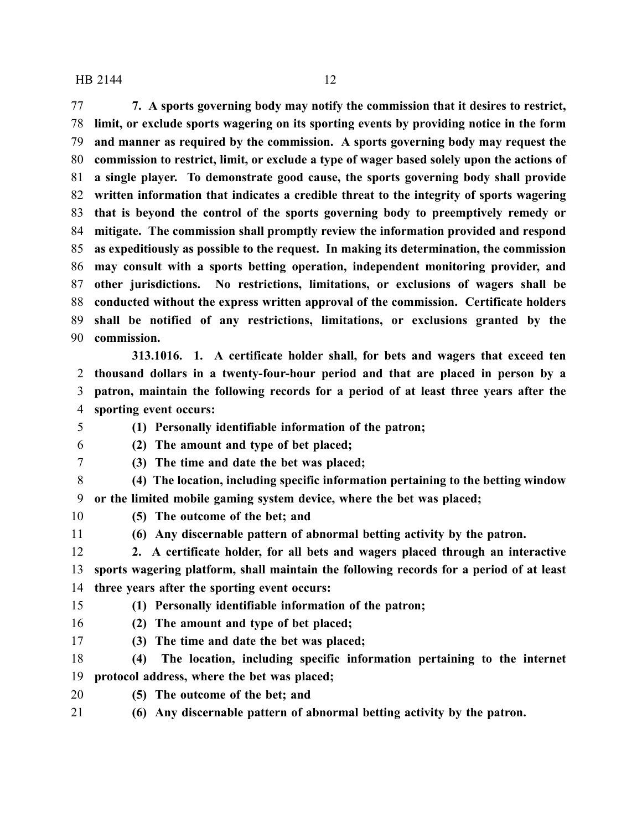**7. A sports governing body may notify the commission that it desires to restrict, limit, or exclude sports wagering on its sporting events by providing notice in the form and manner as required by the commission. A sports governing body may request the commission to restrict, limit, or exclude a type of wager based solely upon the actions of a single player. To demonstrate good cause, the sports governing body shall provide written information that indicates a credible threat to the integrity of sports wagering that is beyond the control of the sports governing body to preemptively remedy or mitigate. The commission shall promptly review the information provided and respond as expeditiously as possible to the request. In making its determination, the commission may consult with a sports betting operation, independent monitoring provider, and other jurisdictions. No restrictions, limitations, or exclusions of wagers shall be conducted without the express written approval of the commission. Certificate holders shall be notified of any restrictions, limitations, or exclusions granted by the commission.**

**313.1016. 1. A certificate holder shall, for bets and wagers that exceed ten thousand dollars in a twenty-four-hour period and that are placed in person by a patron, maintain the following records for a period of at least three years after the sporting event occurs:**

- **(1) Personally identifiable information of the patron;**
- 
- **(2) The amount and type of bet placed; (3) The time and date the bet was placed;**
- **(4) The location, including specific information pertaining to the betting window**
- **or the limited mobile gaming system device, where the bet was placed;**
- 
- **(5) The outcome of the bet; and**
- 

**(6) Any discernable pattern of abnormal betting activity by the patron.**

 **2. A certificate holder, for all bets and wagers placed through an interactive sports wagering platform, shall maintain the following records for a period of at least three years after the sporting event occurs:**

**(1) Personally identifiable information of the patron;**

**(2) The amount and type of bet placed;**

**(3) The time and date the bet was placed;**

 **(4) The location, including specific information pertaining to the internet protocol address, where the bet was placed;**

- 
- **(5) The outcome of the bet; and**
- **(6) Any discernable pattern of abnormal betting activity by the patron.**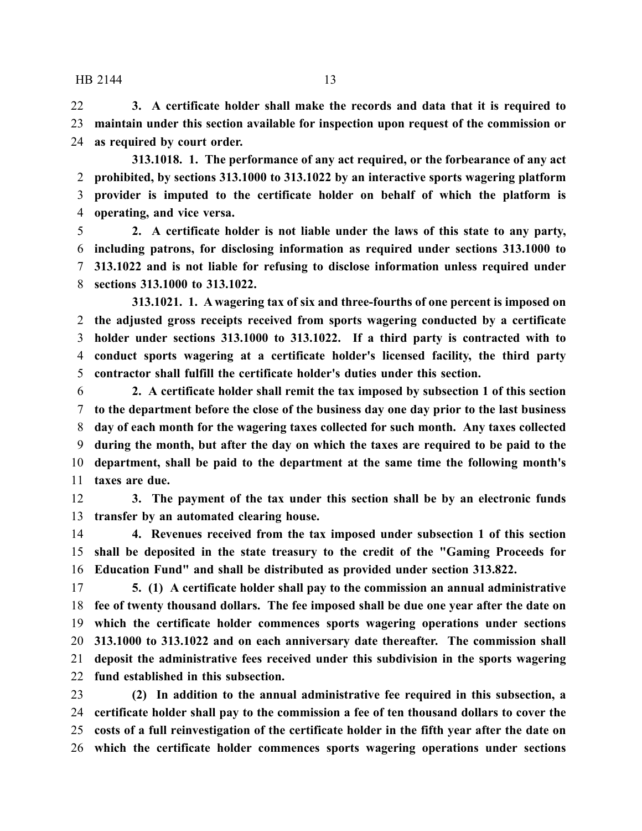**3. A certificate holder shall make the records and data that it is required to maintain under this section available for inspection upon request of the commission or as required by court order.**

**313.1018. 1. The performance of any act required, or the forbearance of any act prohibited, by sections 313.1000 to 313.1022 by an interactive sports wagering platform provider is imputed to the certificate holder on behalf of which the platform is operating, and vice versa.**

 **2. A certificate holder is not liable under the laws of this state to any party, including patrons, for disclosing information as required under sections 313.1000 to 313.1022 and is not liable for refusing to disclose information unless required under sections 313.1000 to 313.1022.**

**313.1021. 1. A wagering tax of six and three-fourths of one percent is imposed on the adjusted gross receipts received from sports wagering conducted by a certificate holder under sections 313.1000 to 313.1022. If a third party is contracted with to conduct sports wagering at a certificate holder's licensed facility, the third party contractor shall fulfill the certificate holder's duties under this section.**

 **2. A certificate holder shall remit the tax imposed by subsection 1 of this section to the department before the close of the business day one day prior to the last business day of each month for the wagering taxes collected for such month. Any taxes collected during the month, but after the day on which the taxes are required to be paid to the department, shall be paid to the department at the same time the following month's taxes are due.**

 **3. The payment of the tax under this section shall be by an electronic funds transfer by an automated clearing house.**

 **4. Revenues received from the tax imposed under subsection 1 of this section shall be deposited in the state treasury to the credit of the "Gaming Proceeds for Education Fund" and shall be distributed as provided under section 313.822.**

 **5. (1) A certificate holder shall pay to the commission an annual administrative fee of twenty thousand dollars. The fee imposed shall be due one year after the date on which the certificate holder commences sports wagering operations under sections 313.1000 to 313.1022 and on each anniversary date thereafter. The commission shall deposit the administrative fees received under this subdivision in the sports wagering fund established in this subsection.**

 **(2) In addition to the annual administrative fee required in this subsection, a certificate holder shall pay to the commission a fee of ten thousand dollars to cover the costs of a full reinvestigation of the certificate holder in the fifth year after the date on which the certificate holder commences sports wagering operations under sections**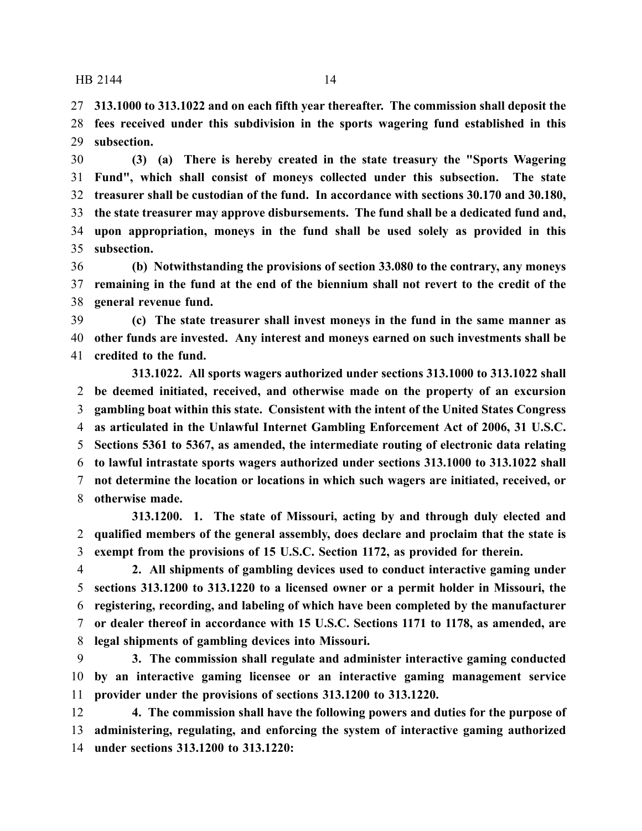**313.1000 to 313.1022 and on each fifth year thereafter. The commission shall deposit the fees received under this subdivision in the sports wagering fund established in this subsection.**

 **(3) (a) There is hereby created in the state treasury the "Sports Wagering Fund", which shall consist of moneys collected under this subsection. The state treasurer shall be custodian of the fund. In accordance with sections 30.170 and 30.180, the state treasurer may approve disbursements. The fund shall be a dedicated fund and, upon appropriation, moneys in the fund shall be used solely as provided in this subsection.**

 **(b) Notwithstanding the provisions of section 33.080 to the contrary, any moneys remaining in the fund at the end of the biennium shall not revert to the credit of the general revenue fund.**

 **(c) The state treasurer shall invest moneys in the fund in the same manner as other funds are invested. Any interest and moneys earned on such investments shall be credited to the fund.**

**313.1022. All sports wagers authorized under sections 313.1000 to 313.1022 shall be deemed initiated, received, and otherwise made on the property of an excursion gambling boat within this state. Consistent with the intent of the United States Congress as articulated in the Unlawful Internet Gambling Enforcement Act of 2006, 31 U.S.C. Sections 5361 to 5367, as amended, the intermediate routing of electronic data relating to lawful intrastate sports wagers authorized under sections 313.1000 to 313.1022 shall not determine the location or locations in which such wagers are initiated, received, or otherwise made.**

**313.1200. 1. The state of Missouri, acting by and through duly elected and qualified members of the general assembly, does declare and proclaim that the state is exempt from the provisions of 15 U.S.C. Section 1172, as provided for therein.**

 **2. All shipments of gambling devices used to conduct interactive gaming under sections 313.1200 to 313.1220 to a licensed owner or a permit holder in Missouri, the registering, recording, and labeling of which have been completed by the manufacturer or dealer thereof in accordance with 15 U.S.C. Sections 1171 to 1178, as amended, are legal shipments of gambling devices into Missouri.**

 **3. The commission shall regulate and administer interactive gaming conducted by an interactive gaming licensee or an interactive gaming management service provider under the provisions of sections 313.1200 to 313.1220.**

 **4. The commission shall have the following powers and duties for the purpose of administering, regulating, and enforcing the system of interactive gaming authorized under sections 313.1200 to 313.1220:**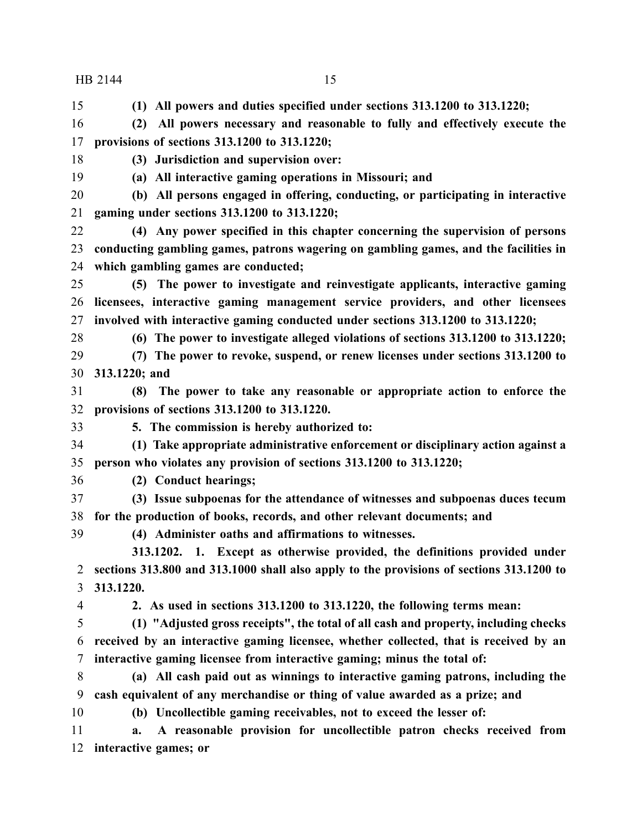**(1) All powers and duties specified under sections 313.1200 to 313.1220;**

 **(2) All powers necessary and reasonable to fully and effectively execute the provisions of sections 313.1200 to 313.1220;**

**(3) Jurisdiction and supervision over:**

**(a) All interactive gaming operations in Missouri; and**

 **(b) All persons engaged in offering, conducting, or participating in interactive gaming under sections 313.1200 to 313.1220;**

 **(4) Any power specified in this chapter concerning the supervision of persons conducting gambling games, patrons wagering on gambling games, and the facilities in which gambling games are conducted;**

 **(5) The power to investigate and reinvestigate applicants, interactive gaming licensees, interactive gaming management service providers, and other licensees involved with interactive gaming conducted under sections 313.1200 to 313.1220;**

- 
- **(6) The power to investigate alleged violations of sections 313.1200 to 313.1220;**

 **(7) The power to revoke, suspend, or renew licenses under sections 313.1200 to 313.1220; and**

 **(8) The power to take any reasonable or appropriate action to enforce the provisions of sections 313.1200 to 313.1220.**

**5. The commission is hereby authorized to:**

 **(1) Take appropriate administrative enforcement or disciplinary action against a person who violates any provision of sections 313.1200 to 313.1220;**

**(2) Conduct hearings;**

 **(3) Issue subpoenas for the attendance of witnesses and subpoenas duces tecum for the production of books, records, and other relevant documents; and**

**(4) Administer oaths and affirmations to witnesses.**

**313.1202. 1. Except as otherwise provided, the definitions provided under sections 313.800 and 313.1000 shall also apply to the provisions of sections 313.1200 to 313.1220.**

**2. As used in sections 313.1200 to 313.1220, the following terms mean:**

 **(1) "Adjusted gross receipts", the total of all cash and property, including checks received by an interactive gaming licensee, whether collected, that is received by an interactive gaming licensee from interactive gaming; minus the total of:**

 **(a) All cash paid out as winnings to interactive gaming patrons, including the cash equivalent of any merchandise or thing of value awarded as a prize; and**

**(b) Uncollectible gaming receivables, not to exceed the lesser of:**

 **a. A reasonable provision for uncollectible patron checks received from interactive games; or**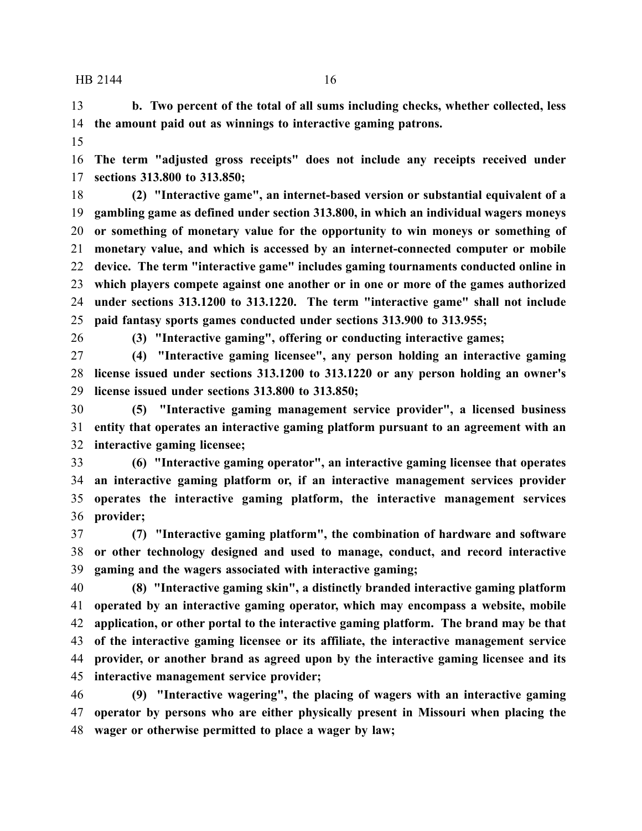**b. Two percent of the total of all sums including checks, whether collected, less the amount paid out as winnings to interactive gaming patrons.**

 **The term "adjusted gross receipts" does not include any receipts received under sections 313.800 to 313.850;**

 **(2) "Interactive game", an internet-based version or substantial equivalent of a gambling game as defined under section 313.800, in which an individual wagers moneys or something of monetary value for the opportunity to win moneys or something of monetary value, and which is accessed by an internet-connected computer or mobile device. The term "interactive game" includes gaming tournaments conducted online in which players compete against one another or in one or more of the games authorized under sections 313.1200 to 313.1220. The term "interactive game" shall not include paid fantasy sports games conducted under sections 313.900 to 313.955;**

**(3) "Interactive gaming", offering or conducting interactive games;**

 **(4) "Interactive gaming licensee", any person holding an interactive gaming license issued under sections 313.1200 to 313.1220 or any person holding an owner's license issued under sections 313.800 to 313.850;**

 **(5) "Interactive gaming management service provider", a licensed business entity that operates an interactive gaming platform pursuant to an agreement with an interactive gaming licensee;**

 **(6) "Interactive gaming operator", an interactive gaming licensee that operates an interactive gaming platform or, if an interactive management services provider operates the interactive gaming platform, the interactive management services provider;**

 **(7) "Interactive gaming platform", the combination of hardware and software or other technology designed and used to manage, conduct, and record interactive gaming and the wagers associated with interactive gaming;**

 **(8) "Interactive gaming skin", a distinctly branded interactive gaming platform operated by an interactive gaming operator, which may encompass a website, mobile application, or other portal to the interactive gaming platform. The brand may be that of the interactive gaming licensee or its affiliate, the interactive management service provider, or another brand as agreed upon by the interactive gaming licensee and its interactive management service provider;**

 **(9) "Interactive wagering", the placing of wagers with an interactive gaming operator by persons who are either physically present in Missouri when placing the wager or otherwise permitted to place a wager by law;**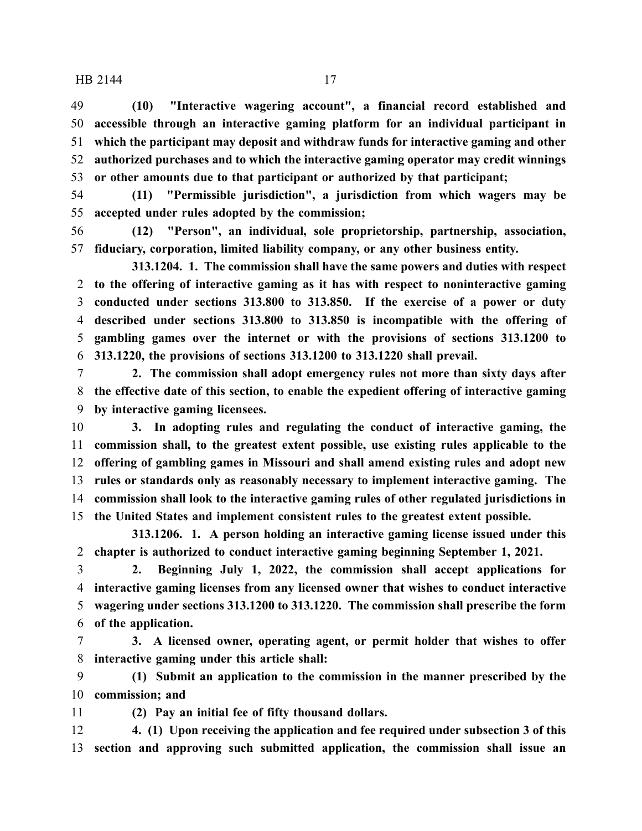**(10) "Interactive wagering account", a financial record established and accessible through an interactive gaming platform for an individual participant in which the participant may deposit and withdraw funds for interactive gaming and other authorized purchases and to which the interactive gaming operator may credit winnings or other amounts due to that participant or authorized by that participant;**

 **(11) "Permissible jurisdiction", a jurisdiction from which wagers may be accepted under rules adopted by the commission;**

 **(12) "Person", an individual, sole proprietorship, partnership, association, fiduciary, corporation, limited liability company, or any other business entity.**

**313.1204. 1. The commission shall have the same powers and duties with respect to the offering of interactive gaming as it has with respect to noninteractive gaming conducted under sections 313.800 to 313.850. If the exercise of a power or duty described under sections 313.800 to 313.850 is incompatible with the offering of gambling games over the internet or with the provisions of sections 313.1200 to 313.1220, the provisions of sections 313.1200 to 313.1220 shall prevail.**

 **2. The commission shall adopt emergency rules not more than sixty days after the effective date of this section, to enable the expedient offering of interactive gaming by interactive gaming licensees.**

 **3. In adopting rules and regulating the conduct of interactive gaming, the commission shall, to the greatest extent possible, use existing rules applicable to the offering of gambling games in Missouri and shall amend existing rules and adopt new rules or standards only as reasonably necessary to implement interactive gaming. The commission shall look to the interactive gaming rules of other regulated jurisdictions in the United States and implement consistent rules to the greatest extent possible.**

**313.1206. 1. A person holding an interactive gaming license issued under this chapter is authorized to conduct interactive gaming beginning September 1, 2021.**

 **2. Beginning July 1, 2022, the commission shall accept applications for interactive gaming licenses from any licensed owner that wishes to conduct interactive wagering under sections 313.1200 to 313.1220. The commission shall prescribe the form of the application.**

 **3. A licensed owner, operating agent, or permit holder that wishes to offer interactive gaming under this article shall:**

 **(1) Submit an application to the commission in the manner prescribed by the commission; and**

**(2) Pay an initial fee of fifty thousand dollars.**

 **4. (1) Upon receiving the application and fee required under subsection 3 of this section and approving such submitted application, the commission shall issue an**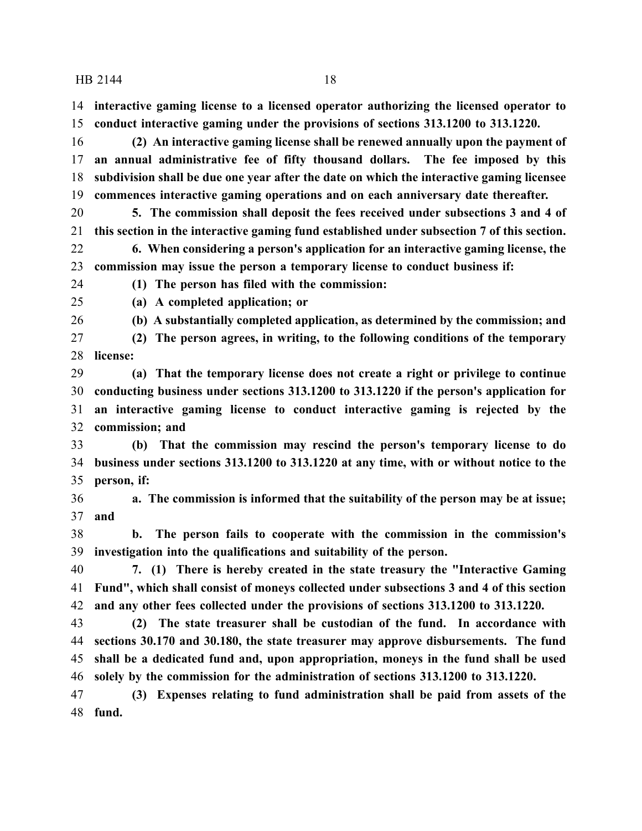**interactive gaming license to a licensed operator authorizing the licensed operator to conduct interactive gaming under the provisions of sections 313.1200 to 313.1220.**

 **(2) An interactive gaming license shall be renewed annually upon the payment of an annual administrative fee of fifty thousand dollars. The fee imposed by this subdivision shall be due one year after the date on which the interactive gaming licensee commences interactive gaming operations and on each anniversary date thereafter.**

 **5. The commission shall deposit the fees received under subsections 3 and 4 of this section in the interactive gaming fund established under subsection 7 of this section.**

 **6. When considering a person's application for an interactive gaming license, the commission may issue the person a temporary license to conduct business if:**

**(1) The person has filed with the commission:**

**(a) A completed application; or**

**(b) A substantially completed application, as determined by the commission; and**

 **(2) The person agrees, in writing, to the following conditions of the temporary license:**

 **(a) That the temporary license does not create a right or privilege to continue conducting business under sections 313.1200 to 313.1220 if the person's application for an interactive gaming license to conduct interactive gaming is rejected by the commission; and**

 **(b) That the commission may rescind the person's temporary license to do business under sections 313.1200 to 313.1220 at any time, with or without notice to the person, if:**

 **a. The commission is informed that the suitability of the person may be at issue; and**

 **b. The person fails to cooperate with the commission in the commission's investigation into the qualifications and suitability of the person.**

 **7. (1) There is hereby created in the state treasury the "Interactive Gaming Fund", which shall consist of moneys collected under subsections 3 and 4 of this section and any other fees collected under the provisions of sections 313.1200 to 313.1220.**

 **(2) The state treasurer shall be custodian of the fund. In accordance with sections 30.170 and 30.180, the state treasurer may approve disbursements. The fund shall be a dedicated fund and, upon appropriation, moneys in the fund shall be used solely by the commission for the administration of sections 313.1200 to 313.1220.**

 **(3) Expenses relating to fund administration shall be paid from assets of the fund.**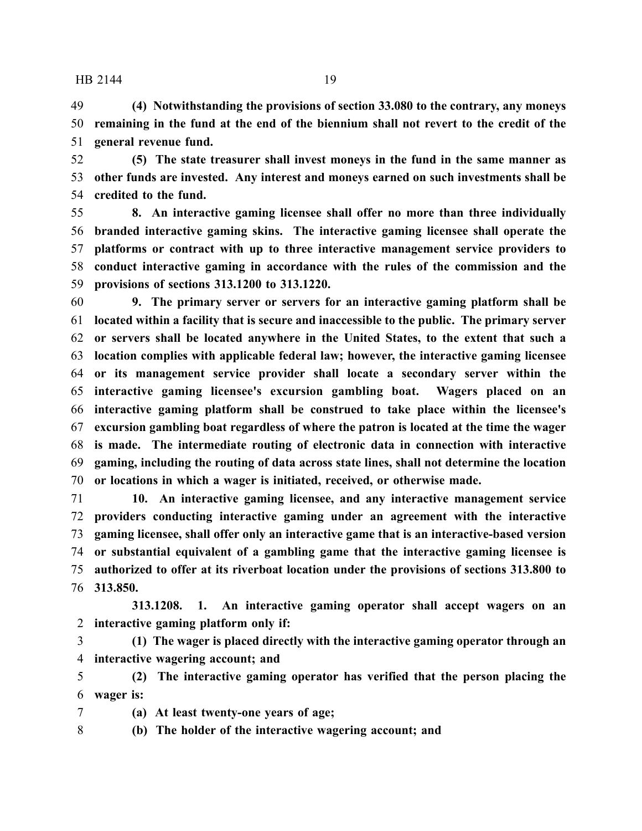**(4) Notwithstanding the provisions of section 33.080 to the contrary, any moneys remaining in the fund at the end of the biennium shall not revert to the credit of the general revenue fund.**

 **(5) The state treasurer shall invest moneys in the fund in the same manner as other funds are invested. Any interest and moneys earned on such investments shall be credited to the fund.**

 **8. An interactive gaming licensee shall offer no more than three individually branded interactive gaming skins. The interactive gaming licensee shall operate the platforms or contract with up to three interactive management service providers to conduct interactive gaming in accordance with the rules of the commission and the provisions of sections 313.1200 to 313.1220.**

 **9. The primary server or servers for an interactive gaming platform shall be located within a facility that is secure and inaccessible to the public. The primary server or servers shall be located anywhere in the United States, to the extent that such a location complies with applicable federal law; however, the interactive gaming licensee or its management service provider shall locate a secondary server within the interactive gaming licensee's excursion gambling boat. Wagers placed on an interactive gaming platform shall be construed to take place within the licensee's excursion gambling boat regardless of where the patron is located at the time the wager is made. The intermediate routing of electronic data in connection with interactive gaming, including the routing of data across state lines, shall not determine the location or locations in which a wager is initiated, received, or otherwise made.**

 **10. An interactive gaming licensee, and any interactive management service providers conducting interactive gaming under an agreement with the interactive gaming licensee, shall offer only an interactive game that is an interactive-based version or substantial equivalent of a gambling game that the interactive gaming licensee is authorized to offer at its riverboat location under the provisions of sections 313.800 to 313.850.**

**313.1208. 1. An interactive gaming operator shall accept wagers on an interactive gaming platform only if:**

 **(1) The wager is placed directly with the interactive gaming operator through an interactive wagering account; and**

 **(2) The interactive gaming operator has verified that the person placing the wager is:**

**(a) At least twenty-one years of age;**

**(b) The holder of the interactive wagering account; and**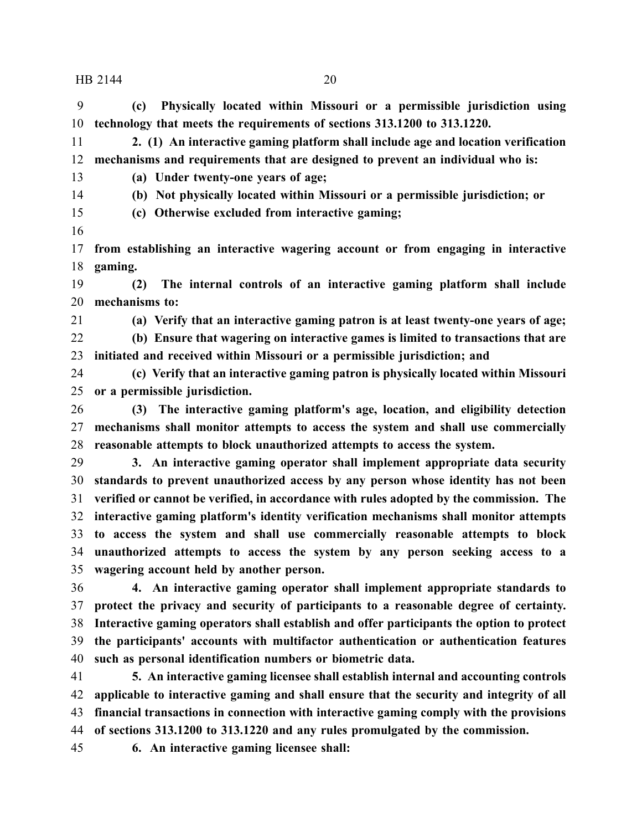**(c) Physically located within Missouri or a permissible jurisdiction using technology that meets the requirements of sections 313.1200 to 313.1220.**

 **2. (1) An interactive gaming platform shall include age and location verification mechanisms and requirements that are designed to prevent an individual who is:**

**(a) Under twenty-one years of age;**

**(b) Not physically located within Missouri or a permissible jurisdiction; or**

- **(c) Otherwise excluded from interactive gaming;**
- 

 **from establishing an interactive wagering account or from engaging in interactive gaming.**

 **(2) The internal controls of an interactive gaming platform shall include mechanisms to:**

**(a) Verify that an interactive gaming patron is at least twenty-one years of age;**

 **(b) Ensure that wagering on interactive games is limited to transactions that are initiated and received within Missouri or a permissible jurisdiction; and**

 **(c) Verify that an interactive gaming patron is physically located within Missouri or a permissible jurisdiction.**

 **(3) The interactive gaming platform's age, location, and eligibility detection mechanisms shall monitor attempts to access the system and shall use commercially reasonable attempts to block unauthorized attempts to access the system.**

 **3. An interactive gaming operator shall implement appropriate data security standards to prevent unauthorized access by any person whose identity has not been verified or cannot be verified, in accordance with rules adopted by the commission. The interactive gaming platform's identity verification mechanisms shall monitor attempts to access the system and shall use commercially reasonable attempts to block unauthorized attempts to access the system by any person seeking access to a wagering account held by another person.**

 **4. An interactive gaming operator shall implement appropriate standards to protect the privacy and security of participants to a reasonable degree of certainty. Interactive gaming operators shall establish and offer participants the option to protect the participants' accounts with multifactor authentication or authentication features such as personal identification numbers or biometric data.**

 **5. An interactive gaming licensee shall establish internal and accounting controls applicable to interactive gaming and shall ensure that the security and integrity of all financial transactions in connection with interactive gaming comply with the provisions of sections 313.1200 to 313.1220 and any rules promulgated by the commission.**

**6. An interactive gaming licensee shall:**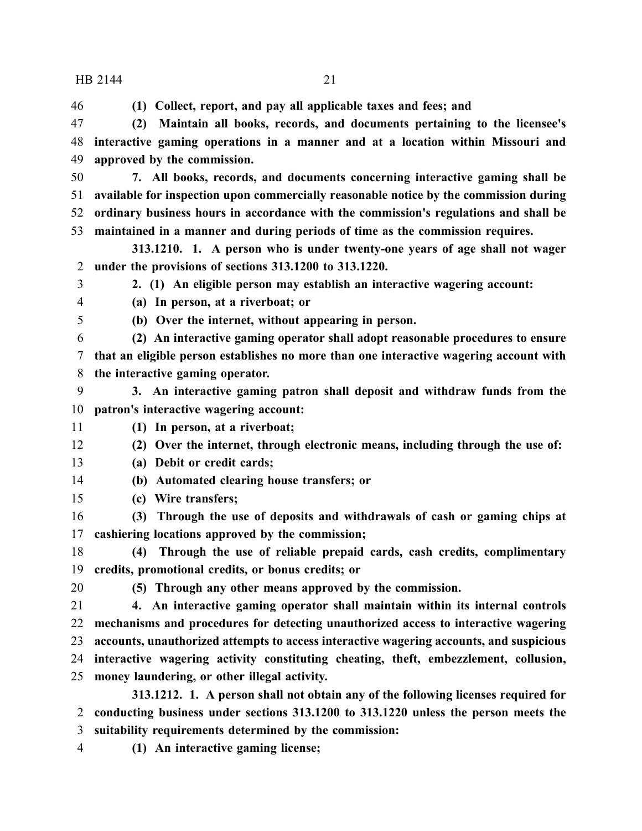**(1) Collect, report, and pay all applicable taxes and fees; and**

 **(2) Maintain all books, records, and documents pertaining to the licensee's interactive gaming operations in a manner and at a location within Missouri and approved by the commission.**

 **7. All books, records, and documents concerning interactive gaming shall be available for inspection upon commercially reasonable notice by the commission during ordinary business hours in accordance with the commission's regulations and shall be maintained in a manner and during periods of time as the commission requires.**

**313.1210. 1. A person who is under twenty-one years of age shall not wager under the provisions of sections 313.1200 to 313.1220.**

 **2. (1) An eligible person may establish an interactive wagering account: (a) In person, at a riverboat; or**

**(b) Over the internet, without appearing in person.**

 **(2) An interactive gaming operator shall adopt reasonable procedures to ensure that an eligible person establishes no more than one interactive wagering account with the interactive gaming operator.**

 **3. An interactive gaming patron shall deposit and withdraw funds from the patron's interactive wagering account:**

**(1) In person, at a riverboat;**

**(2) Over the internet, through electronic means, including through the use of:**

- **(a) Debit or credit cards;**
- **(b) Automated clearing house transfers; or**
- **(c) Wire transfers;**

 **(3) Through the use of deposits and withdrawals of cash or gaming chips at cashiering locations approved by the commission;**

 **(4) Through the use of reliable prepaid cards, cash credits, complimentary credits, promotional credits, or bonus credits; or**

**(5) Through any other means approved by the commission.**

 **4. An interactive gaming operator shall maintain within its internal controls mechanisms and procedures for detecting unauthorized access to interactive wagering accounts, unauthorized attempts to access interactive wagering accounts, and suspicious interactive wagering activity constituting cheating, theft, embezzlement, collusion, money laundering, or other illegal activity.**

**313.1212. 1. A person shall not obtain any of the following licenses required for conducting business under sections 313.1200 to 313.1220 unless the person meets the suitability requirements determined by the commission:**

**(1) An interactive gaming license;**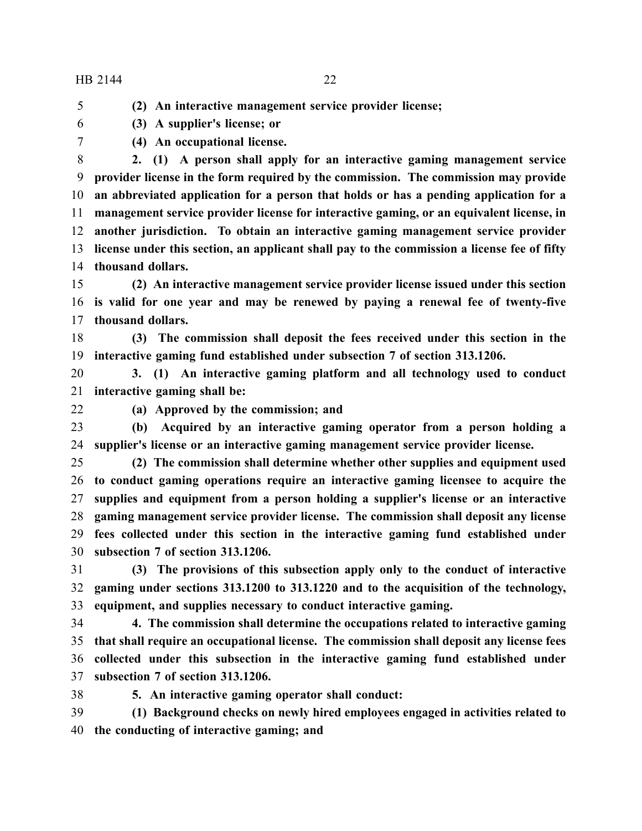**(2) An interactive management service provider license;**

- **(3) A supplier's license; or**
- 

**(4) An occupational license.**

 **2. (1) A person shall apply for an interactive gaming management service provider license in the form required by the commission. The commission may provide an abbreviated application for a person that holds or has a pending application for a management service provider license for interactive gaming, or an equivalent license, in another jurisdiction. To obtain an interactive gaming management service provider license under this section, an applicant shall pay to the commission a license fee of fifty thousand dollars.**

 **(2) An interactive management service provider license issued under this section is valid for one year and may be renewed by paying a renewal fee of twenty-five thousand dollars.**

 **(3) The commission shall deposit the fees received under this section in the interactive gaming fund established under subsection 7 of section 313.1206.**

 **3. (1) An interactive gaming platform and all technology used to conduct interactive gaming shall be:**

**(a) Approved by the commission; and**

 **(b) Acquired by an interactive gaming operator from a person holding a supplier's license or an interactive gaming management service provider license.**

 **(2) The commission shall determine whether other supplies and equipment used to conduct gaming operations require an interactive gaming licensee to acquire the supplies and equipment from a person holding a supplier's license or an interactive gaming management service provider license. The commission shall deposit any license fees collected under this section in the interactive gaming fund established under subsection 7 of section 313.1206.**

 **(3) The provisions of this subsection apply only to the conduct of interactive gaming under sections 313.1200 to 313.1220 and to the acquisition of the technology, equipment, and supplies necessary to conduct interactive gaming.**

 **4. The commission shall determine the occupations related to interactive gaming that shall require an occupational license. The commission shall deposit any license fees collected under this subsection in the interactive gaming fund established under subsection 7 of section 313.1206.**

**5. An interactive gaming operator shall conduct:**

 **(1) Background checks on newly hired employees engaged in activities related to the conducting of interactive gaming; and**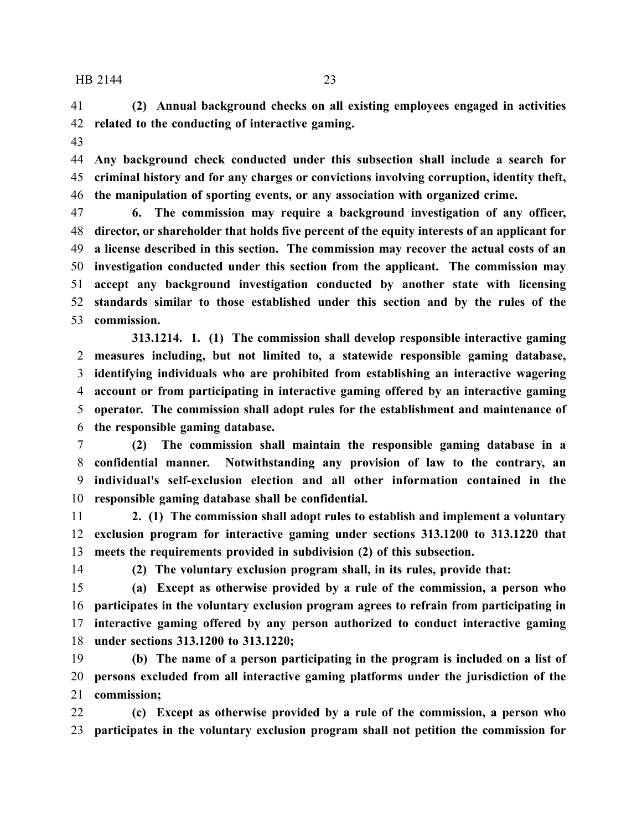**(2) Annual background checks on all existing employees engaged in activities related to the conducting of interactive gaming.**

 **Any background check conducted under this subsection shall include a search for criminal history and for any charges or convictions involving corruption, identity theft, the manipulation of sporting events, or any association with organized crime.**

 **6. The commission may require a background investigation of any officer, director, or shareholder that holds five percent of the equity interests of an applicant for a license described in this section. The commission may recover the actual costs of an investigation conducted under this section from the applicant. The commission may accept any background investigation conducted by another state with licensing standards similar to those established under this section and by the rules of the commission.**

**313.1214. 1. (1) The commission shall develop responsible interactive gaming measures including, but not limited to, a statewide responsible gaming database, identifying individuals who are prohibited from establishing an interactive wagering account or from participating in interactive gaming offered by an interactive gaming operator. The commission shall adopt rules for the establishment and maintenance of the responsible gaming database.**

 **(2) The commission shall maintain the responsible gaming database in a confidential manner. Notwithstanding any provision of law to the contrary, an individual's self-exclusion election and all other information contained in the responsible gaming database shall be confidential.**

 **2. (1) The commission shall adopt rules to establish and implement a voluntary exclusion program for interactive gaming under sections 313.1200 to 313.1220 that meets the requirements provided in subdivision (2) of this subsection.**

**(2) The voluntary exclusion program shall, in its rules, provide that:**

 **(a) Except as otherwise provided by a rule of the commission, a person who participates in the voluntary exclusion program agrees to refrain from participating in interactive gaming offered by any person authorized to conduct interactive gaming under sections 313.1200 to 313.1220;**

 **(b) The name of a person participating in the program is included on a list of persons excluded from all interactive gaming platforms under the jurisdiction of the commission;**

 **(c) Except as otherwise provided by a rule of the commission, a person who participates in the voluntary exclusion program shall not petition the commission for**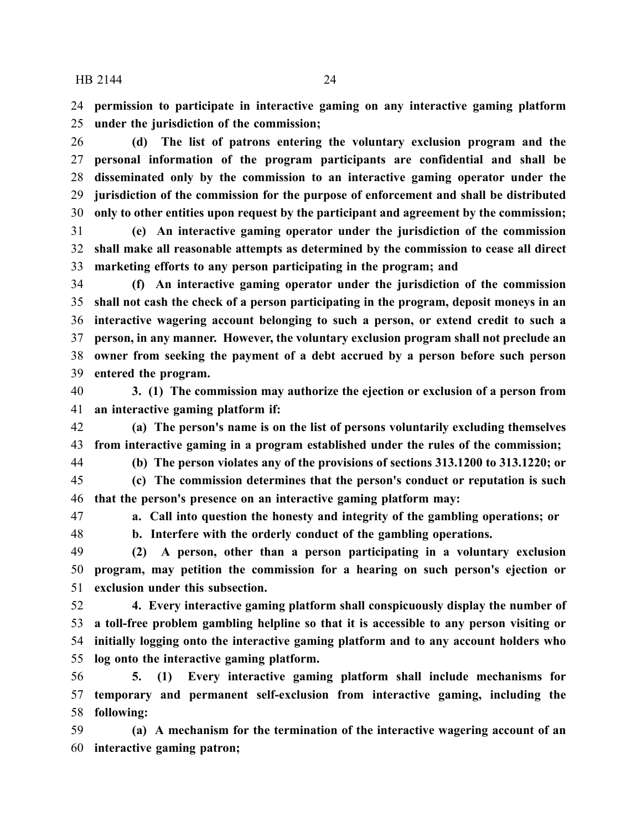**permission to participate in interactive gaming on any interactive gaming platform under the jurisdiction of the commission;**

 **(d) The list of patrons entering the voluntary exclusion program and the personal information of the program participants are confidential and shall be disseminated only by the commission to an interactive gaming operator under the jurisdiction of the commission for the purpose of enforcement and shall be distributed only to other entities upon request by the participant and agreement by the commission;**

 **(e) An interactive gaming operator under the jurisdiction of the commission shall make all reasonable attempts as determined by the commission to cease all direct marketing efforts to any person participating in the program; and**

 **(f) An interactive gaming operator under the jurisdiction of the commission shall not cash the check of a person participating in the program, deposit moneys in an interactive wagering account belonging to such a person, or extend credit to such a person, in any manner. However, the voluntary exclusion program shall not preclude an owner from seeking the payment of a debt accrued by a person before such person entered the program.**

 **3. (1) The commission may authorize the ejection or exclusion of a person from an interactive gaming platform if:**

 **(a) The person's name is on the list of persons voluntarily excluding themselves from interactive gaming in a program established under the rules of the commission;**

**(b) The person violates any of the provisions of sections 313.1200 to 313.1220; or**

 **(c) The commission determines that the person's conduct or reputation is such that the person's presence on an interactive gaming platform may:**

**a. Call into question the honesty and integrity of the gambling operations; or**

**b. Interfere with the orderly conduct of the gambling operations.**

 **(2) A person, other than a person participating in a voluntary exclusion program, may petition the commission for a hearing on such person's ejection or exclusion under this subsection.**

 **4. Every interactive gaming platform shall conspicuously display the number of a toll-free problem gambling helpline so that it is accessible to any person visiting or initially logging onto the interactive gaming platform and to any account holders who log onto the interactive gaming platform.**

 **5. (1) Every interactive gaming platform shall include mechanisms for temporary and permanent self-exclusion from interactive gaming, including the following:**

 **(a) A mechanism for the termination of the interactive wagering account of an interactive gaming patron;**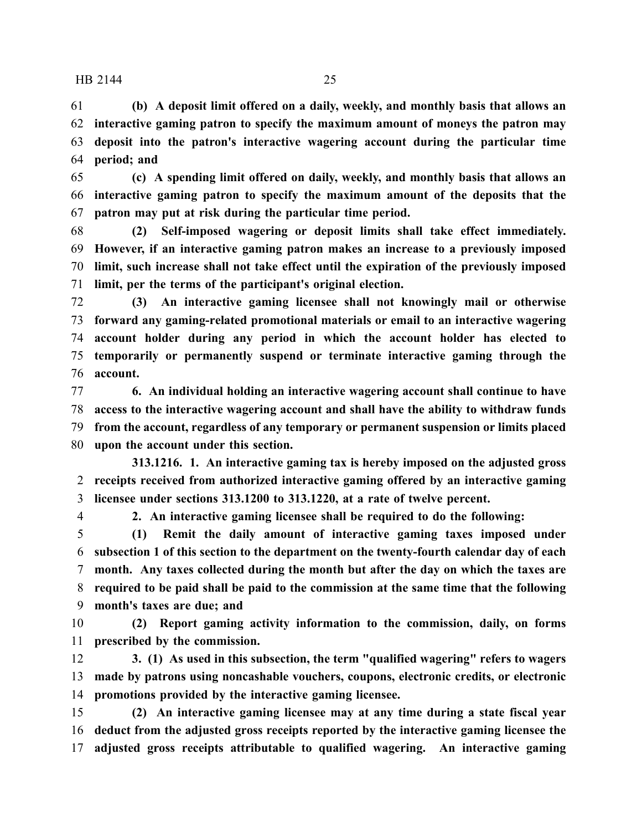**(b) A deposit limit offered on a daily, weekly, and monthly basis that allows an interactive gaming patron to specify the maximum amount of moneys the patron may deposit into the patron's interactive wagering account during the particular time period; and**

 **(c) A spending limit offered on daily, weekly, and monthly basis that allows an interactive gaming patron to specify the maximum amount of the deposits that the patron may put at risk during the particular time period.**

 **(2) Self-imposed wagering or deposit limits shall take effect immediately. However, if an interactive gaming patron makes an increase to a previously imposed limit, such increase shall not take effect until the expiration of the previously imposed limit, per the terms of the participant's original election.**

 **(3) An interactive gaming licensee shall not knowingly mail or otherwise forward any gaming-related promotional materials or email to an interactive wagering account holder during any period in which the account holder has elected to temporarily or permanently suspend or terminate interactive gaming through the account.**

 **6. An individual holding an interactive wagering account shall continue to have access to the interactive wagering account and shall have the ability to withdraw funds from the account, regardless of any temporary or permanent suspension or limits placed upon the account under this section.**

**313.1216. 1. An interactive gaming tax is hereby imposed on the adjusted gross receipts received from authorized interactive gaming offered by an interactive gaming licensee under sections 313.1200 to 313.1220, at a rate of twelve percent.**

**2. An interactive gaming licensee shall be required to do the following:**

 **(1) Remit the daily amount of interactive gaming taxes imposed under subsection 1 of this section to the department on the twenty-fourth calendar day of each month. Any taxes collected during the month but after the day on which the taxes are required to be paid shall be paid to the commission at the same time that the following month's taxes are due; and**

 **(2) Report gaming activity information to the commission, daily, on forms prescribed by the commission.**

 **3. (1) As used in this subsection, the term "qualified wagering" refers to wagers made by patrons using noncashable vouchers, coupons, electronic credits, or electronic promotions provided by the interactive gaming licensee.**

 **(2) An interactive gaming licensee may at any time during a state fiscal year deduct from the adjusted gross receipts reported by the interactive gaming licensee the adjusted gross receipts attributable to qualified wagering. An interactive gaming**